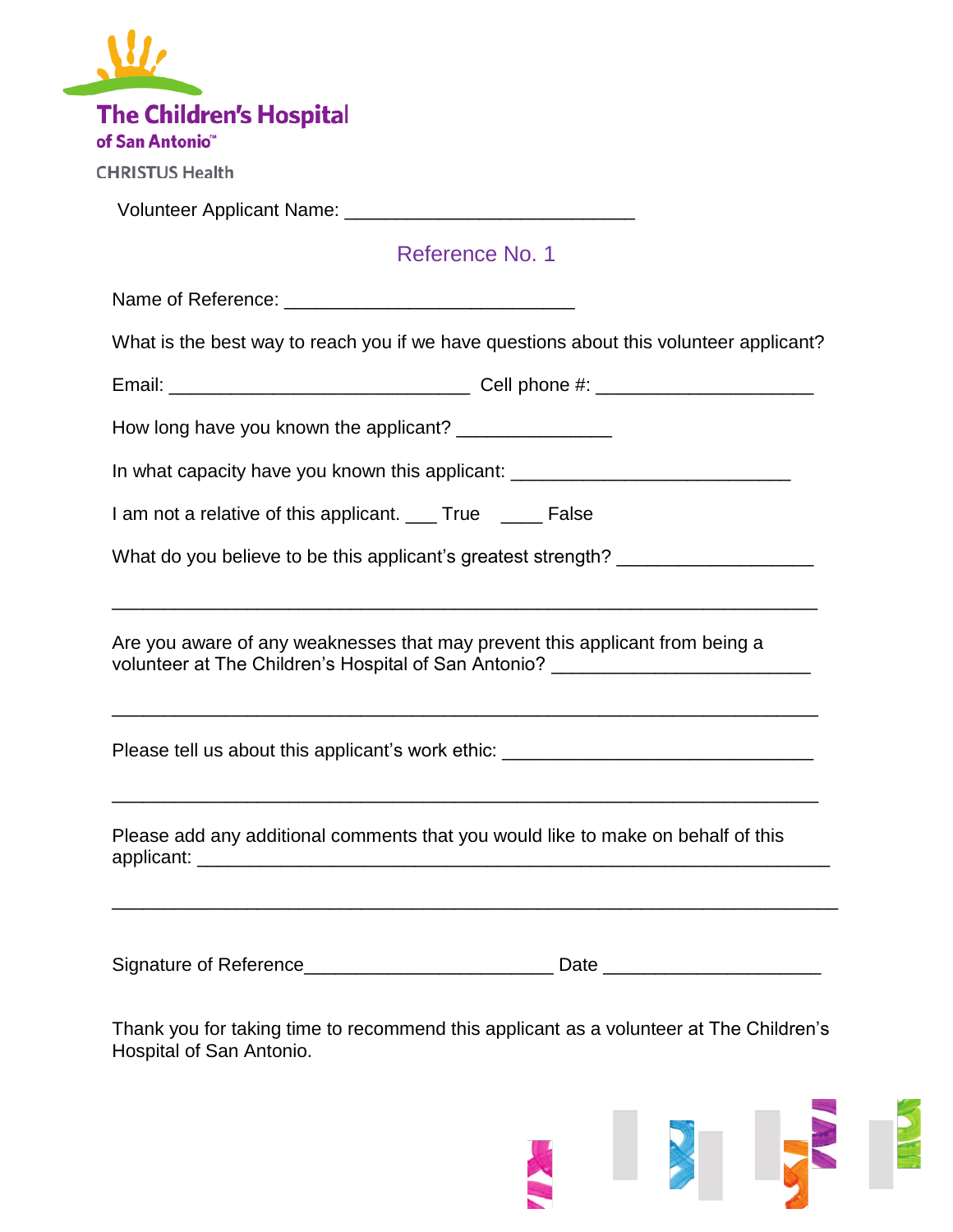| <b>The Children's Hospital</b><br>of San Antonio <sup>"</sup> |                                                                                                                                                                  |
|---------------------------------------------------------------|------------------------------------------------------------------------------------------------------------------------------------------------------------------|
| <b>CHRISTUS Health</b>                                        |                                                                                                                                                                  |
|                                                               |                                                                                                                                                                  |
|                                                               | Reference No. 1                                                                                                                                                  |
|                                                               |                                                                                                                                                                  |
|                                                               | What is the best way to reach you if we have questions about this volunteer applicant?                                                                           |
|                                                               |                                                                                                                                                                  |
|                                                               | How long have you known the applicant? _______________                                                                                                           |
|                                                               | In what capacity have you known this applicant: ________________________________                                                                                 |
|                                                               | I am not a relative of this applicant. ___ True ____ False                                                                                                       |
|                                                               | What do you believe to be this applicant's greatest strength? __________________                                                                                 |
|                                                               | Are you aware of any weaknesses that may prevent this applicant from being a<br>volunteer at The Children's Hospital of San Antonio? ___________________________ |
|                                                               | Please tell us about this applicant's work ethic: ______________________________                                                                                 |
|                                                               | Please add any additional comments that you would like to make on behalf of this                                                                                 |
|                                                               |                                                                                                                                                                  |